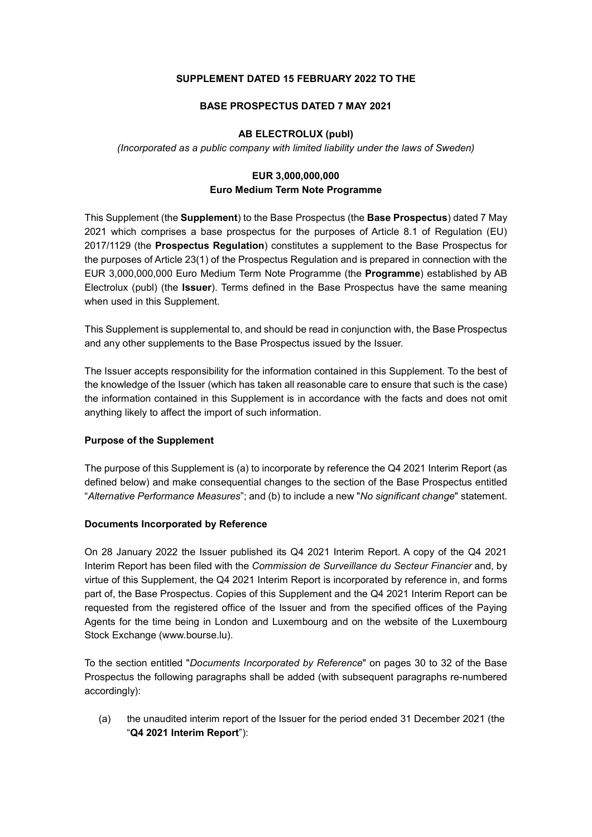### SUPPLEMENT DATED 15 FEBRUARY 2022 TO THE

### BASE PROSPECTUS DATED 7 MAY 2021

# AB ELECTROLUX (publ)

(Incorporated as a public company with limited liability under the laws of Sweden)

# EUR 3,000,000,000 Euro Medium Term Note Programme

This Supplement (the Supplement) to the Base Prospectus (the Base Prospectus) dated 7 May 2021 which comprises a base prospectus for the purposes of Article 8.1 of Regulation (EU) 2017/1129 (the Prospectus Regulation) constitutes a supplement to the Base Prospectus for the purposes of Article 23(1) of the Prospectus Regulation and is prepared in connection with the EUR 3,000,000,000 Euro Medium Term Note Programme (the Programme) established by AB Electrolux (publ) (the Issuer). Terms defined in the Base Prospectus have the same meaning when used in this Supplement.

This Supplement is supplemental to, and should be read in conjunction with, the Base Prospectus and any other supplements to the Base Prospectus issued by the Issuer.

The Issuer accepts responsibility for the information contained in this Supplement. To the best of the knowledge of the Issuer (which has taken all reasonable care to ensure that such is the case) the information contained in this Supplement is in accordance with the facts and does not omit anything likely to affect the import of such information.

# Purpose of the Supplement

The purpose of this Supplement is (a) to incorporate by reference the Q4 2021 Interim Report (as defined below) and make consequential changes to the section of the Base Prospectus entitled "Alternative Performance Measures"; and (b) to include a new "No significant change" statement.

#### Documents Incorporated by Reference

On 28 January 2022 the Issuer published its Q4 2021 Interim Report. A copy of the Q4 2021 Interim Report has been filed with the Commission de Surveillance du Secteur Financier and, by virtue of this Supplement, the Q4 2021 Interim Report is incorporated by reference in, and forms part of, the Base Prospectus. Copies of this Supplement and the Q4 2021 Interim Report can be requested from the registered office of the Issuer and from the specified offices of the Paying Agents for the time being in London and Luxembourg and on the website of the Luxembourg Stock Exchange (www.bourse.lu).

To the section entitled "Documents Incorporated by Reference" on pages 30 to 32 of the Base Prospectus the following paragraphs shall be added (with subsequent paragraphs re-numbered accordingly):

(a) the unaudited interim report of the Issuer for the period ended 31 December 2021 (the "Q4 2021 Interim Report"):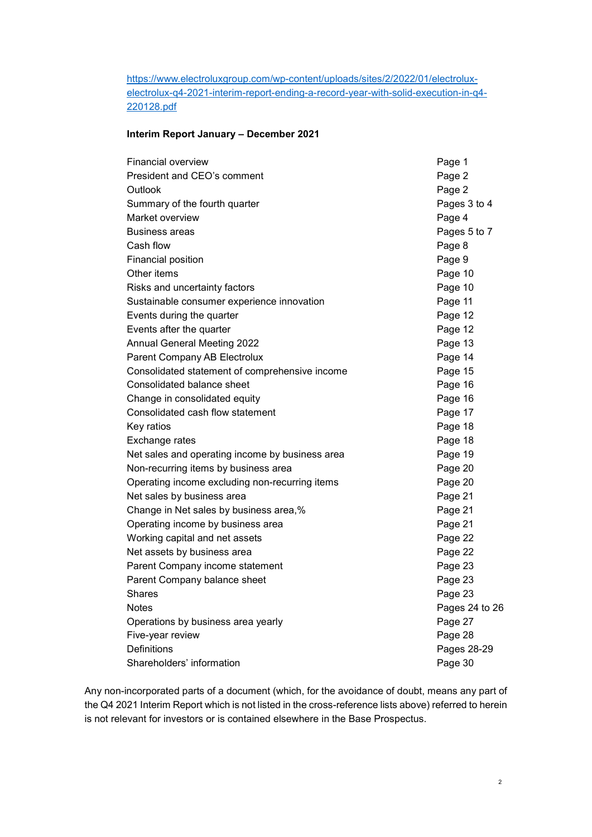https://www.electroluxgroup.com/wp-content/uploads/sites/2/2022/01/electroluxelectrolux-q4-2021-interim-report-ending-a-record-year-with-solid-execution-in-q4- 220128.pdf

#### Interim Report January – December 2021

| <b>Financial overview</b>                       | Page 1         |
|-------------------------------------------------|----------------|
| President and CEO's comment                     | Page 2         |
| Outlook                                         | Page 2         |
| Summary of the fourth quarter                   | Pages 3 to 4   |
| Market overview                                 | Page 4         |
| <b>Business areas</b>                           | Pages 5 to 7   |
| Cash flow                                       | Page 8         |
| <b>Financial position</b>                       | Page 9         |
| Other items                                     | Page 10        |
| Risks and uncertainty factors                   | Page 10        |
| Sustainable consumer experience innovation      | Page 11        |
| Events during the quarter                       | Page 12        |
| Events after the quarter                        | Page 12        |
| <b>Annual General Meeting 2022</b>              | Page 13        |
| Parent Company AB Electrolux                    | Page 14        |
| Consolidated statement of comprehensive income  | Page 15        |
| Consolidated balance sheet                      | Page 16        |
| Change in consolidated equity                   | Page 16        |
| Consolidated cash flow statement                | Page 17        |
| Key ratios                                      | Page 18        |
| Exchange rates                                  | Page 18        |
| Net sales and operating income by business area | Page 19        |
| Non-recurring items by business area            | Page 20        |
| Operating income excluding non-recurring items  | Page 20        |
| Net sales by business area                      | Page 21        |
| Change in Net sales by business area,%          | Page 21        |
| Operating income by business area               | Page 21        |
| Working capital and net assets                  | Page 22        |
| Net assets by business area                     | Page 22        |
| Parent Company income statement                 | Page 23        |
| Parent Company balance sheet                    | Page 23        |
| Shares                                          | Page 23        |
| Notes                                           | Pages 24 to 26 |
| Operations by business area yearly              | Page 27        |
| Five-year review                                | Page 28        |
| Definitions                                     | Pages 28-29    |
| Shareholders' information                       | Page 30        |

Any non-incorporated parts of a document (which, for the avoidance of doubt, means any part of the Q4 2021 Interim Report which is not listed in the cross-reference lists above) referred to herein is not relevant for investors or is contained elsewhere in the Base Prospectus.